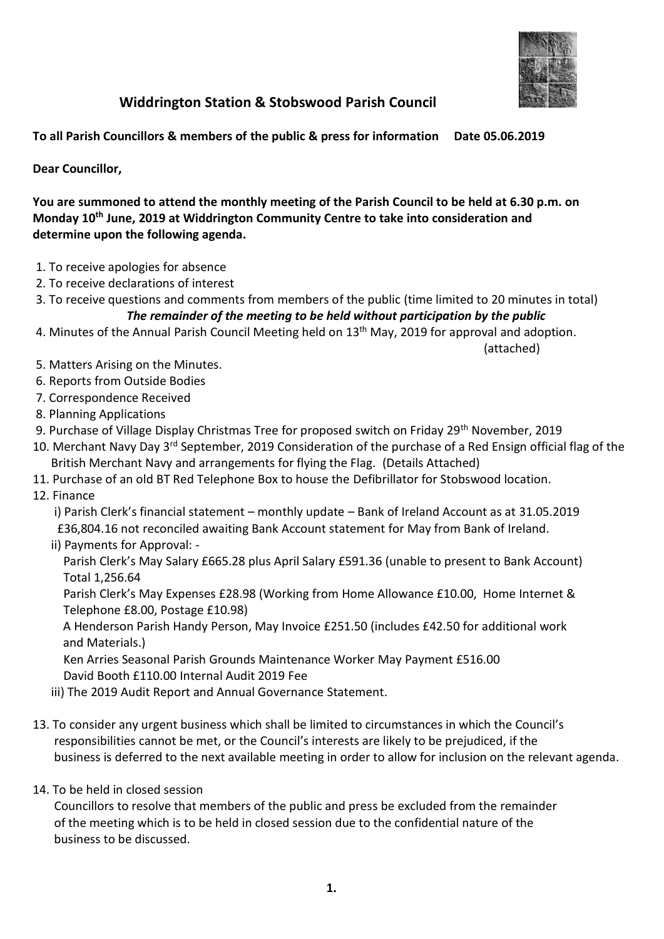

## **Widdrington Station & Stobswood Parish Council**

**To all Parish Councillors & members of the public & press for information Date 05.06.2019**

**Dear Councillor,**

**You are summoned to attend the monthly meeting of the Parish Council to be held at 6.30 p.m. on Monday 10th June, 2019 at Widdrington Community Centre to take into consideration and determine upon the following agenda.**

- 1. To receive apologies for absence
- 2. To receive declarations of interest
- 3. To receive questions and comments from members of the public (time limited to 20 minutes in total) *The remainder of the meeting to be held without participation by the public*
- 4. Minutes of the Annual Parish Council Meeting held on 13<sup>th</sup> May, 2019 for approval and adoption.

(attached)

- 5. Matters Arising on the Minutes.
- 6. Reports from Outside Bodies
- 7. Correspondence Received
- 8. Planning Applications
- 9. Purchase of Village Display Christmas Tree for proposed switch on Friday 29<sup>th</sup> November, 2019
- 10. Merchant Navy Day 3<sup>rd</sup> September, 2019 Consideration of the purchase of a Red Ensign official flag of the British Merchant Navy and arrangements for flying the Flag. (Details Attached)
- 11. Purchase of an old BT Red Telephone Box to house the Defibrillator for Stobswood location.
- 12. Finance

i) Parish Clerk's financial statement – monthly update – Bank of Ireland Account as at 31.05.2019 £36,804.16 not reconciled awaiting Bank Account statement for May from Bank of Ireland.

ii) Payments for Approval: -

 Parish Clerk's May Salary £665.28 plus April Salary £591.36 (unable to present to Bank Account) Total 1,256.64

 Parish Clerk's May Expenses £28.98 (Working from Home Allowance £10.00, Home Internet & Telephone £8.00, Postage £10.98)

 A Henderson Parish Handy Person, May Invoice £251.50 (includes £42.50 for additional work and Materials.)

 Ken Arries Seasonal Parish Grounds Maintenance Worker May Payment £516.00 David Booth £110.00 Internal Audit 2019 Fee

- iii) The 2019 Audit Report and Annual Governance Statement.
- 13. To consider any urgent business which shall be limited to circumstances in which the Council's responsibilities cannot be met, or the Council's interests are likely to be prejudiced, if the business is deferred to the next available meeting in order to allow for inclusion on the relevant agenda.
- 14. To be held in closed session

 Councillors to resolve that members of the public and press be excluded from the remainder of the meeting which is to be held in closed session due to the confidential nature of the business to be discussed.